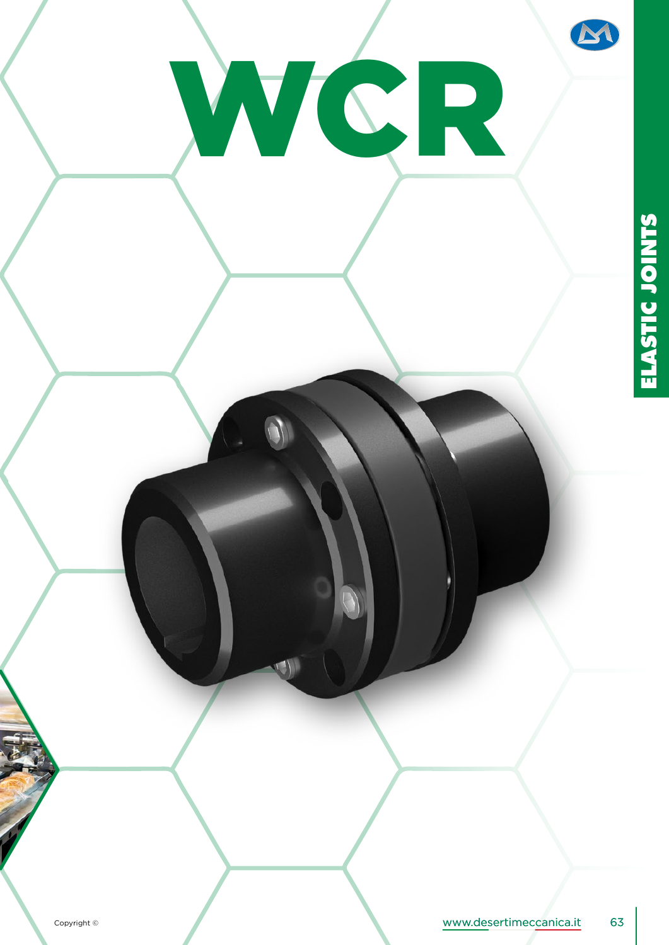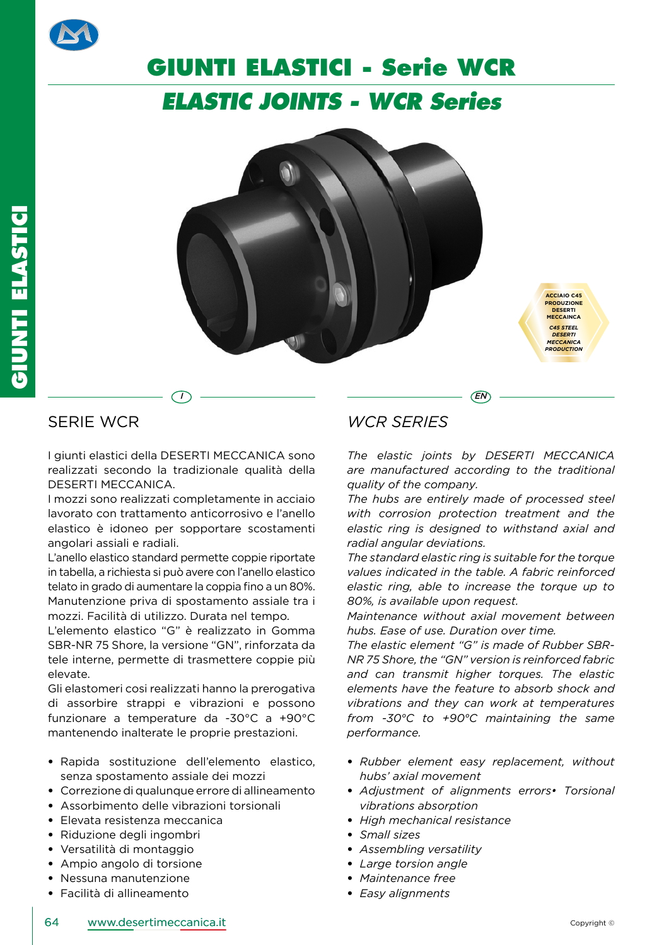

## **GIUNTI ELASTICI - Serie WCR**

### *ELASTIC JOINTS - WCR Series*

*I*  $)$   $\qquad$  *EN* 



### SERIE WCR

I giunti elastici della DESERTI MECCANICA sono realizzati secondo la tradizionale qualità della DESERTI MECCANICA.

I mozzi sono realizzati completamente in acciaio lavorato con trattamento anticorrosivo e l'anello elastico è idoneo per sopportare scostamenti angolari assiali e radiali.

L'anello elastico standard permette coppie riportate in tabella, a richiesta si può avere con l'anello elastico telato in grado di aumentare la coppia fino a un 80%. Manutenzione priva di spostamento assiale tra i mozzi. Facilità di utilizzo. Durata nel tempo.

L'elemento elastico "G" è realizzato in Gomma SBR-NR 75 Shore, la versione "GN", rinforzata da tele interne, permette di trasmettere coppie più elevate.

Gli elastomeri cosi realizzati hanno la prerogativa di assorbire strappi e vibrazioni e possono funzionare a temperature da -30°C a +90°C mantenendo inalterate le proprie prestazioni.

- Rapida sostituzione dell'elemento elastico, senza spostamento assiale dei mozzi
- Correzione di qualunque errore di allineamento
- Assorbimento delle vibrazioni torsionali
- Elevata resistenza meccanica
- Riduzione degli ingombri
- Versatilità di montaggio
- Ampio angolo di torsione
- Nessuna manutenzione
- Facilità di allineamento

### *WCR SERIES*

*The elastic joints by DESERTI MECCANICA are manufactured according to the traditional quality of the company.*

*The hubs are entirely made of processed steel with corrosion protection treatment and the elastic ring is designed to withstand axial and radial angular deviations.* 

*The standard elastic ring is suitable for the torque values indicated in the table. A fabric reinforced elastic ring, able to increase the torque up to 80%, is available upon request.*

*Maintenance without axial movement between hubs. Ease of use. Duration over time.*

*The elastic element "G" is made of Rubber SBR-NR 75 Shore, the "GN" version is reinforced fabric and can transmit higher torques. The elastic elements have the feature to absorb shock and vibrations and they can work at temperatures from -30°C to +90°C maintaining the same performance.*

- *Rubber element easy replacement, without hubs' axial movement*
- *Adjustment of alignments errors• Torsional vibrations absorption*
- *High mechanical resistance*
- *Small sizes*
- *Assembling versatility*
- *Large torsion angle*
- *Maintenance free*
- *Easy alignments*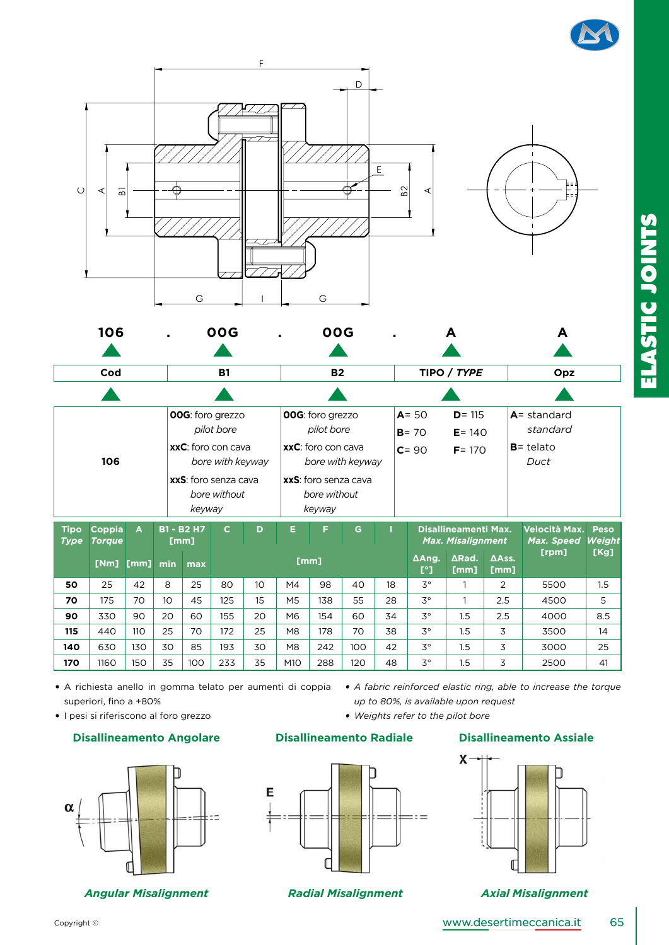



|             |                                                       |      |                    | <b>00G:</b> foro grezzo                                  |     |    |                    | <b>00G:</b> foro grezzo                      |     |                       | $A = 50$<br>$D = 115$         |                          |                | $A =$ standard      |                |  |
|-------------|-------------------------------------------------------|------|--------------------|----------------------------------------------------------|-----|----|--------------------|----------------------------------------------|-----|-----------------------|-------------------------------|--------------------------|----------------|---------------------|----------------|--|
|             |                                                       |      |                    | pilot bore                                               |     |    |                    | pilot bore                                   |     |                       | $B = 70$<br>$E = 140$         |                          |                | standard            |                |  |
|             |                                                       |      | xxC: foro con cava |                                                          |     |    | xxC: foro con cava |                                              |     | $C = 90$<br>$F = 170$ |                               |                          | $B =$ telato   |                     |                |  |
|             | 106                                                   |      |                    | bore with keyway<br>xxS: foro senza cava<br>bore without |     |    |                    | bore with keyway                             |     |                       |                               |                          |                | Duct                |                |  |
|             |                                                       |      |                    |                                                          |     |    |                    | xxS: foro senza cava<br>bore without         |     |                       |                               |                          |                |                     |                |  |
|             |                                                       |      |                    |                                                          |     |    |                    |                                              |     |                       |                               |                          |                |                     |                |  |
|             |                                                       |      |                    | keyway                                                   |     |    |                    | keyway                                       |     |                       |                               |                          |                |                     |                |  |
|             | <b>B1 - B2 H7</b><br>$\mathbf{C}$<br>Coppia<br>A<br>D |      |                    |                                                          |     |    |                    | <b>Disallineamenti Max.</b><br>Velocità Max. |     |                       |                               |                          |                |                     |                |  |
| <b>Tipo</b> |                                                       |      |                    |                                                          |     |    | Е                  | F.                                           | G   |                       |                               |                          |                |                     | <b>Peso</b>    |  |
| <b>Type</b> | <b>Torque</b>                                         |      |                    | [mm]                                                     |     |    |                    |                                              |     |                       |                               | <b>Max. Misalignment</b> |                | Max. Speed<br>[rpm] | Weight<br>[Kg] |  |
|             | [Nm]                                                  | [mm] | min                | max                                                      |     |    |                    | [mm]                                         |     |                       | AAng.<br>$\mathsf{I}^{\circ}$ | ∆Rad.<br>[mm]            | ΔAss.<br>[mm]  |                     |                |  |
| 50          | 25                                                    | 42   | 8                  | 25                                                       | 80  | 10 | M4                 | 98                                           | 40  | 18                    | $3^{\circ}$                   |                          | $\overline{2}$ | 5500                | 1.5            |  |
| 70          | 175                                                   | 70   | 10 <sup>2</sup>    | 45                                                       | 125 | 15 | M <sub>5</sub>     | 138                                          | 55  | 28                    | $3^{\circ}$                   |                          | 2.5            | 4500                | 5              |  |
| 90          | 330                                                   | 90   | 20                 | 60                                                       | 155 | 20 | M6                 | 154                                          | 60  | 34                    | $3^{\circ}$                   | 1.5                      | 2.5            | 4000                | 8.5            |  |
| 115         | 440                                                   | 110  | 25                 | 70                                                       | 172 | 25 | M8                 | 178                                          | 70  | 38                    | $3^{\circ}$                   | 1.5                      | 3              | 3500                | 14             |  |
| 140         | 630                                                   | 130  | 30                 | 85                                                       | 193 | 30 | M8                 | 242                                          | 100 | 42                    | $3^{\circ}$                   | 1.5                      | 3              | 3000                | 25             |  |

• A richiesta anello in gomma telato per aumenti di coppia • A fabric reinforced elastic ring, able to increase the torque superiori, fino a +80%

• I pesi si riferiscono al foro grezzo



*Angular Misalignment Radial Misalignment Axial Misalignment*



### **Disallineamento Angolare Disallineamento Radiale Disallineamento Assiale**





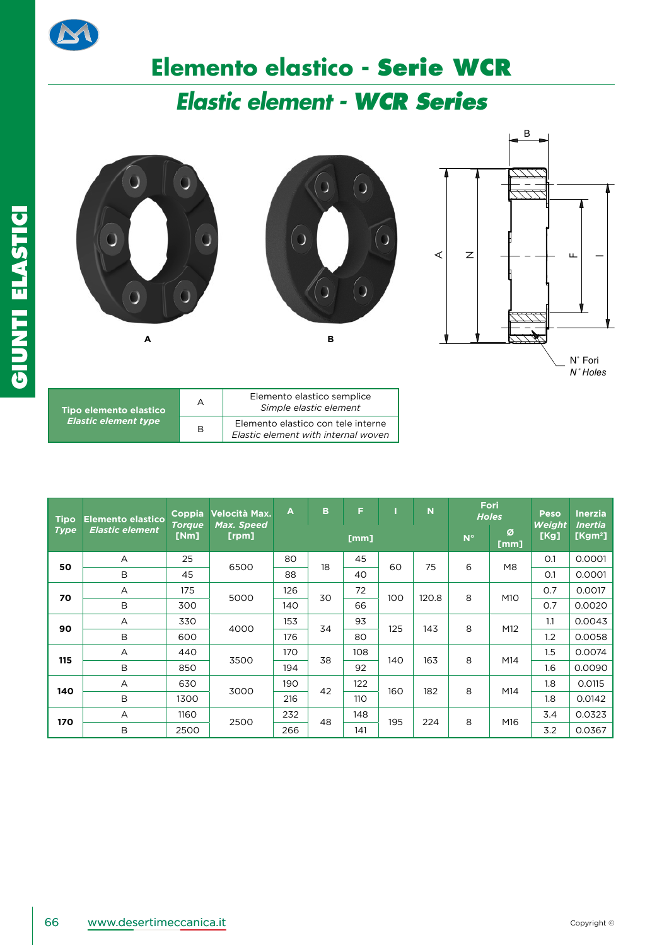

# **Elemento elastico - Serie WCR**

## *Elastic element - WCR Series*



*N˚ Holes*

| Tipo elemento elastico      | А | Elemento elastico semplice<br>Simple elastic element                      |
|-----------------------------|---|---------------------------------------------------------------------------|
| <b>Elastic element type</b> | B | Elemento elastico con tele interne<br>Elastic element with internal woven |

| <b>Tipo</b> | <b>Elemento elastico</b> | Coppia<br><b>Torque</b> | Velocità Max.<br>Max. Speed | $\overline{A}$ | B  | F    |     | $\overline{\mathsf{N}}$ | Fori<br><b>Holes</b> |                | <b>Peso</b><br>Weight | <b>Inerzia</b><br><b>Inertia</b> |
|-------------|--------------------------|-------------------------|-----------------------------|----------------|----|------|-----|-------------------------|----------------------|----------------|-----------------------|----------------------------------|
| <b>Type</b> | <b>Elastic element</b>   | [Nm]                    | [rpm]                       |                |    | [mm] |     |                         | $N^{\circ}$          | Ø<br>[mm]      | [Kg]                  | [ $Kgm2$ ]                       |
| 50          | A                        | 25                      | 6500                        | 80             | 18 | 45   | 60  | 75                      | 6                    | M <sub>8</sub> | O.1                   | 0.0001                           |
|             | B                        | 45                      |                             | 88             |    | 40   |     |                         |                      |                | O.1                   | 0.0001                           |
| 70          | А                        | 175                     | 5000                        | 126            | 30 | 72   | 100 | 120.8                   | 8                    | M10            | 0.7                   | 0.0017                           |
|             | B                        | 300                     |                             | 140            |    | 66   |     |                         |                      |                | 0.7                   | 0.0020                           |
|             | $\overline{A}$           | 330                     | 4000                        | 153            | 34 | 93   | 125 | 143                     | 8                    | M12            | 1.1                   | 0.0043                           |
| 90          | B                        | 600                     |                             | 176            |    | 80   |     |                         |                      | 1.2            | 0.0058                |                                  |
| 115         | A                        | 440                     | 3500                        | 170            | 38 | 108  | 140 | 163                     | 8                    | M14            | 1.5                   | 0.0074                           |
|             | B                        | 850                     |                             | 194            |    | 92   |     |                         |                      |                | 1.6                   | 0.0090                           |
|             | $\overline{A}$           | 630                     | 3000                        | 190            | 42 | 122  | 160 | 182                     | 8                    | M14            | 1.8                   | 0.0115                           |
| 140         | B                        | 1300                    |                             | 216            |    | 110  |     |                         |                      |                | 1.8                   | 0.0142                           |
| 170         | A                        | 1160                    | 2500                        | 232            | 48 | 148  | 195 |                         |                      |                | 3.4                   | 0.0323                           |
|             | B                        | 2500                    |                             | 266            |    | 141  |     | 224                     | 8                    | M16            | 3.2                   | 0.0367                           |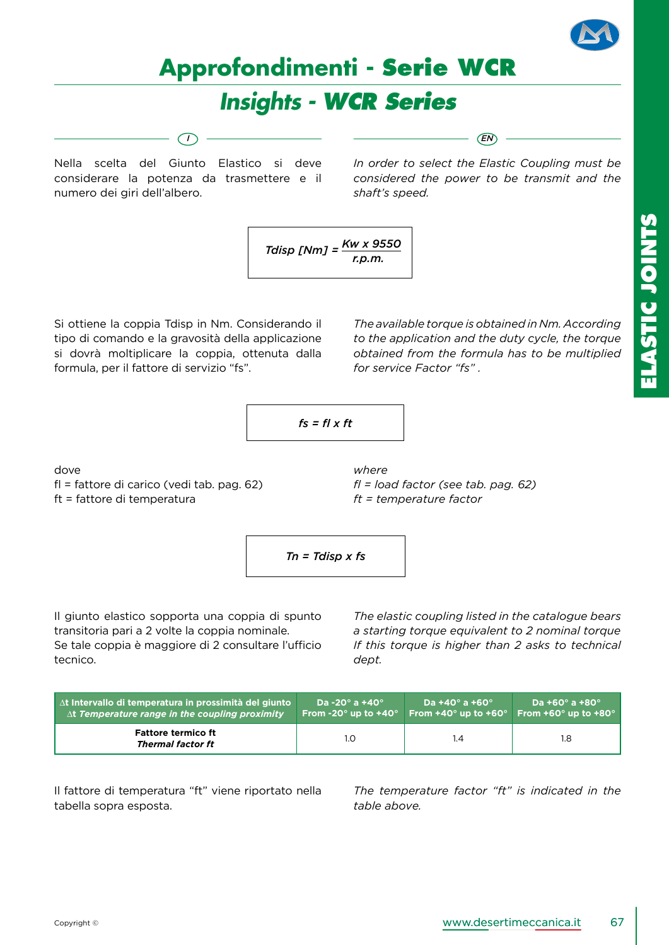

## **Approfondimenti - Serie WCR**

## *Insights - WCR Series*

*I EN*

Nella scelta del Giunto Elastico si deve considerare la potenza da trasmettere e il numero dei giri dell'albero.

*In order to select the Elastic Coupling must be considered the power to be transmit and the shaft's speed.*

$$
Tdisp \; [Nm] = \frac{Kw \; x \; 9550}{r.p.m.}
$$

Si ottiene la coppia Tdisp in Nm. Considerando il tipo di comando e la gravosità della applicazione si dovrà moltiplicare la coppia, ottenuta dalla formula, per il fattore di servizio "fs".

*The available torque is obtained in Nm. According to the application and the duty cycle, the torque obtained from the formula has to be multiplied for service Factor "fs" .*

$$
fs = fl \times ft
$$

*where*

dove

fl = fattore di carico (vedi tab. pag. 62) ft = fattore di temperatura

*fl = load factor (see tab. pag. 62) ft = temperature factor*

$$
Tn = Tdisp \times fs
$$

Il giunto elastico sopporta una coppia di spunto transitoria pari a 2 volte la coppia nominale. Se tale coppia è maggiore di 2 consultare l'ufficio tecnico.

*The elastic coupling listed in the catalogue bears a starting torque equivalent to 2 nominal torque If this torque is higher than 2 asks to technical dept.*

| $\Delta t$ Intervallo di temperatura in prossimità del giunto | Da -20 $^{\circ}$ a +40 $^{\circ}$              | Da +40 $^{\circ}$ a +60 $^{\circ}$       | Da +60 $^{\circ}$ a +80 $^{\circ}$       |
|---------------------------------------------------------------|-------------------------------------------------|------------------------------------------|------------------------------------------|
| $\Delta t$ Temperature range in the coupling proximity        | $\,$ From -20 $^{\circ}$ up to +40 $^{\circ}$ , | From +40 $^{\circ}$ up to +60 $^{\circ}$ | From +60 $^{\circ}$ up to +80 $^{\circ}$ |
| <b>Fattore termico ft</b><br>Thermal factor ft                | 1.0                                             | l.4                                      | 1.8                                      |

Il fattore di temperatura "ft" viene riportato nella tabella sopra esposta.

*The temperature factor "ft" is indicated in the table above.*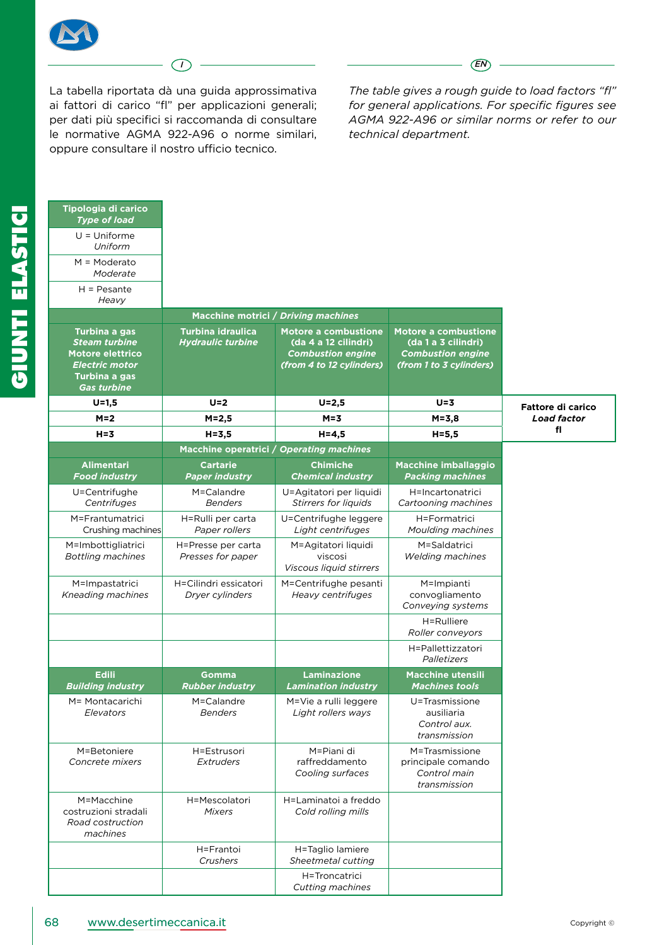

*I EN*

La tabella riportata dà una guida approssimativa ai fattori di carico "fl" per applicazioni generali; per dati più specifici si raccomanda di consultare le normative AGMA 922-A96 o norme similari, oppure consultare il nostro ufficio tecnico.

*The table gives a rough guide to load factors "fl" for general applications. For specific figures see AGMA 922-A96 or similar norms or refer to our technical department.*

| Tipologia di carico<br><b>Type of load</b>                                                                                |                                                      |                                                                                                             |                                                                                                           |                          |
|---------------------------------------------------------------------------------------------------------------------------|------------------------------------------------------|-------------------------------------------------------------------------------------------------------------|-----------------------------------------------------------------------------------------------------------|--------------------------|
| $U =$ Uniforme<br>Uniform                                                                                                 |                                                      |                                                                                                             |                                                                                                           |                          |
| $M = Moderato$<br>Moderate                                                                                                |                                                      |                                                                                                             |                                                                                                           |                          |
| $H = P$ esante<br>Heavy                                                                                                   |                                                      |                                                                                                             |                                                                                                           |                          |
|                                                                                                                           |                                                      | Macchine motrici / Driving machines                                                                         |                                                                                                           |                          |
| Turbina a gas<br><b>Steam turbine</b><br>Motore elettrico<br><b>Electric motor</b><br>Turbina a gas<br><b>Gas turbine</b> | <b>Turbina idraulica</b><br><b>Hydraulic turbine</b> | <b>Motore a combustione</b><br>(da 4 a 12 cilindri)<br><b>Combustion engine</b><br>(from 4 to 12 cylinders) | <b>Motore a combustione</b><br>(da 1 a 3 cilindri)<br><b>Combustion engine</b><br>(from 1 to 3 cylinders) |                          |
| $U = 1.5$                                                                                                                 | $U = 2$                                              | $U = 2,5$                                                                                                   | $U = 3$                                                                                                   | <b>Fattore di carico</b> |
| $M=2$                                                                                                                     | M=2,5                                                | $M = 3$                                                                                                     | $M = 3,8$                                                                                                 | <b>Load factor</b>       |
| $H = 3$                                                                                                                   | $H = 3.5$                                            | $H = 4.5$                                                                                                   | $H = 5, 5$                                                                                                | fl                       |
|                                                                                                                           |                                                      | Macchine operatrici / Operating machines                                                                    |                                                                                                           |                          |
| Alimentari<br><b>Food industry</b>                                                                                        | <b>Cartarie</b><br><b>Paper industry</b>             | <b>Chimiche</b><br><b>Chemical industry</b>                                                                 | Macchine imballaggio<br><b>Packing machines</b>                                                           |                          |
| U=Centrifughe<br>Centrifuges                                                                                              | M=Calandre<br><b>Benders</b>                         | U=Agitatori per liquidi<br><b>Stirrers for liquids</b>                                                      | H=Incartonatrici<br>Cartooning machines                                                                   |                          |
| M=Frantumatrici<br>Crushing machines                                                                                      | H=Rulli per carta<br>Paper rollers                   | U=Centrifughe leggere<br>Light centrifuges                                                                  | H=Formatrici<br>Moulding machines                                                                         |                          |
| M=Imbottigliatrici<br><b>Bottling machines</b>                                                                            | H=Presse per carta<br>Presses for paper              | M=Agitatori liquidi<br>viscosi<br>Viscous liquid stirrers                                                   | M=Saldatrici<br><b>Welding machines</b>                                                                   |                          |
| M=Impastatrici<br>Kneading machines                                                                                       | H=Cilindri essicatori<br>Dryer cylinders             | M=Centrifughe pesanti<br>Heavy centrifuges                                                                  | M=Impianti<br>convogliamento<br>Conveying systems                                                         |                          |
|                                                                                                                           |                                                      |                                                                                                             | H=Rulliere<br>Roller conveyors                                                                            |                          |
|                                                                                                                           |                                                      |                                                                                                             | H=Pallettizzatori<br>Palletizers                                                                          |                          |
| <b>Edili</b><br><b>Building industry</b>                                                                                  | Gomma<br><b>Rubber industry</b>                      | <b>Laminazione</b><br><b>Lamination industry</b>                                                            | <b>Macchine utensili</b><br><b>Machines tools</b>                                                         |                          |
| M= Montacarichi<br>Elevators                                                                                              | M=Calandre<br><b>Benders</b>                         | M=Vie a rulli leggere<br>Light rollers ways                                                                 | U=Trasmissione<br>ausiliaria<br>Control aux.<br>transmission                                              |                          |
| M=Betoniere<br>Concrete mixers                                                                                            | H=Estrusori<br>Extruders                             | M=Piani di<br>raffreddamento<br>Cooling surfaces                                                            | M=Trasmissione<br>principale comando<br>Control main<br>transmission                                      |                          |
| M=Macchine<br>costruzioni stradali<br>Road costruction<br>machines                                                        | H=Mescolatori<br><b>Mixers</b>                       | H=Laminatoi a freddo<br>Cold rolling mills                                                                  |                                                                                                           |                          |
|                                                                                                                           | H=Frantoi<br>Crushers                                | H=Taglio lamiere<br>Sheetmetal cutting                                                                      |                                                                                                           |                          |
|                                                                                                                           |                                                      | H=Troncatrici<br>Cutting machines                                                                           |                                                                                                           |                          |